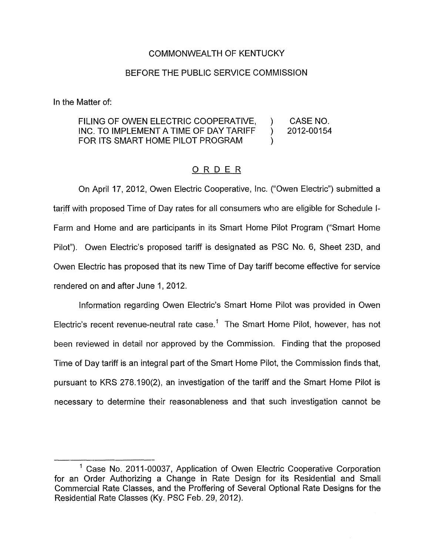## COMMONWEALTH OF KENTUCKY

## BEFORE THE PUBLIC SERVICE COMMISSION

In the Matter of:

## FILING OF OWEN ELECTRIC COOPERATIVE, ) CASE NO.<br>INC. TO IMPLEMENT A TIME OF DAY TARIFF ) 2012-00154 INC. TO IMPLEMENT A TIME OF DAY TARIFF ) FOR ITS SMART HOME PILOT PROGRAM  $\qquad$ )

## ORDER

On April 17, 2012, Owen Electric Cooperative, Inc. ("Owen Electric") submitted a tariff with proposed Time of Day rates for all consumers who are eligible for Schedule **I-**Farm and Home and are participants in its Smart Home Pilot Program ("Smart Home Pilot"). Owen Electric's proposed tariff is designated as PSC No. 6, Sheet 23D, and Owen Electric has proposed that its new Time of Day tariff become effective for service rendered on and after June 1, 2012.

Information regarding Owen Electric's Smart Home Pilot was provided in Owen Electric's recent revenue-neutral rate case.<sup>1</sup> The Smart Home Pilot, however, has not been reviewed in detail nor approved by the Commission. Finding that the proposed Time of Day tariff is an integral part of the Smart Home Pilot, the Commission finds that, pursuant to KRS 278.190(2), an investigation of the tariff and the Smart Home Pilot is necessary to determine their reasonableness and that such investigation cannot be

 $1$  Case No. 2011-00037, Application of Owen Electric Cooperative Corporation for an Order Authorizing a Change in Rate Design for its Residential and Small Commercial Rate Classes, and the Proffering of Several Optional Rate Designs for the Residential Rate Classes (Ky. PSC Feb. 29, 2012).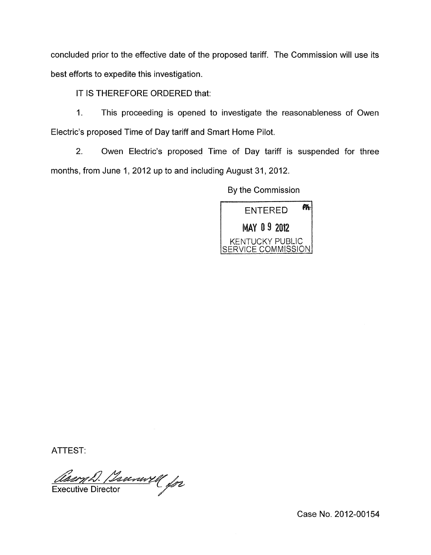concluded prior to the effective date of the proposed tariff. The Commission will use its best efforts to expedite this investigation.

IT IS THEREFORE ORDERED that:

1. This proceeding is opened to investigate the reasonableness of Owen Electric's proposed Time of Day tariff and Smart Home Pilot.

2. Owen Electric's proposed Time of Day tariff is suspended for three months, from June 1, 2012 up to and including August 31, 2012.

By the Commission



ATTEST:

<u>Aacry D. Beerwill</u> for

Case No. 2012-00154